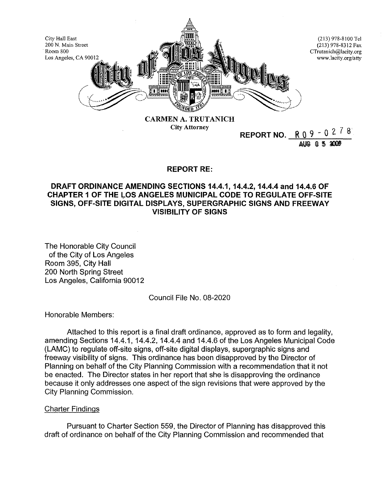

City Attorney

**REPORT NO.** R 0 9 - 0 2. *7* 8

aug 05.2009

## **REPORT RE:**

# **DRAFT ORDINANCE AMENDING SECTIONS 14.4.1, 14.4.2, 14.4.4 and 14.4.6 OF CHAPTER 1 OF THE LOS ANGELES MUNICIPAL CODE TO REGULATE OFF-SITE SIGNS, OFF-SITE DIGITAL DISPLAYS, SUPERGRAPHIC SIGNS AND FREEWAY VISIBILITY OF SIGNS**

The Honorable City Council of the City of Los Angeles Room 395, City Hall 200 North Spring Street Los Angeles, California 90012

Council File No. 08-2020

Honorable Members:

Attached to this report is a final draft ordinance, approved as to form and legality, amending Sections 14.4.1, 14.4.2, 14.4.4 and 14.4.6 of the Los Angeles Municipal Code (LAMC) to regulate off-site signs, off-site digital displays, supergraphic signs and freeway visibility of signs. This ordinance has been disapproved by the Director of Planning on behalf of the City Planning Commission with a recommendation that it not be enacted. The Director states in her report that she is disapproving the ordinance because it only addresses one aspect of the sign revisions that were approved by the City Planning Commission.

## Charter Findings

Pursuant to Charter Section 559, the Director of Planning has disapproved this draft of ordinance on behalf of the City Planning Commission and recommended that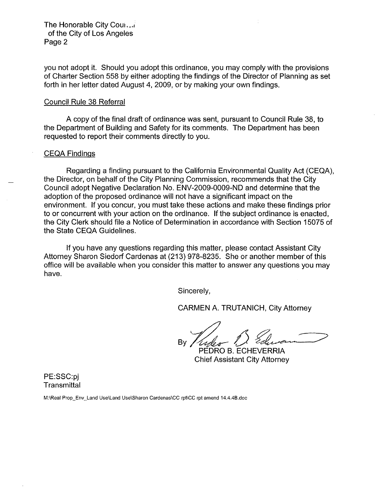The Honorable City Cour. of the City of Los Angeles Page 2

you not adopt it. Should you adopt this ordinance, you may comply with the provisions of Charter Section 558 by either adopting the findings of the Director of Planning as set forth in her letter dated August 4, 2009, or by making your own findings.

#### Council Rule 38 Referral

A copy of the final draft of ordinance was sent, pursuant to Council Rule 38, to the Department of Building and Safety for its comments. The Department has been requested to report their comments directly to you.

#### CEQA Findings

Regarding a finding pursuant to the California Environmental Quality Act (CEQA), the Director, on behalf of the City Planning Commission, recommends that the City Council adopt Negative Declaration No. ENV-2009-0009-ND and determine that the adoption of the proposed ordinance will not have a significant impact on the environment. If you concur, you must take these actions and make these findings prior to or concurrent with your action on the ordinance. If the subject ordinance is enacted, the City Clerk should file a Notice of Determination in accordance with Section 15075 of the State CEQA Guidelines.

If you have any questions regarding this matter, please contact Assistant City Attorney Sharon Siedorf Cardenas at (213) 978-8235. She or another member of this office will be available when you consider this matter to answer any questions you may have.

Sincerely,

CARMEN A. TRUTANICH, City Attorney

By *Yuder 1 Elevan* 1

PEDRO B. ECHEVERRIA Chief Assistant City Attorney

PE:SSC:pj **Transmittal** 

**M:\Rea!** Prop\_Env~Land **Use\Land Use\Sharon Cardenas\CC rpt\CC rpt amend 14.4.4B.doc**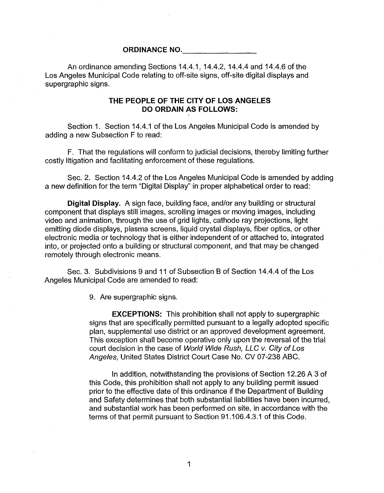## **ORDINANCE NO.**

An ordinance amending Sections 14.4.1, 14.4.2, 14.4.4 and 14.4.6 of the Los Angeles Municipal Code relating to off-site signs, off-site digital displays and supergraphic signs.

## **THE PEOPLE OF THE CITY OF LOS ANGELES DO ORDAIN AS FOLLOWS:**

Section 1. Section 14.4.1 of the los Angeles Municipal Code is amended by adding a new Subsection F to read:

F. That the regulations will conform to judicial decisions, thereby limiting further costly litigation and facilitating enforcement of these regulations.

Sec. 2. Section 14.4.2 of the Los Angeles Municipal Code is amended by adding a new definition for the term "Digital Display" in proper alphabetical order to read:

**Digital Display.** A sign face, building face, and/or any building or structural component that displays still images, scrolling images or moving images, including video and animation, through the use of grid lights, cathode ray projections, light emitting diode displays, plasma screens, liquid crystal displays, fiber optics, or other electronic media or technology that is either independent of or attached to, integrated into, or projected onto a building or structural component, and that may be changed remotely through electronic means.

Sec. 3. Subdivisions 9 and 11 of Subsection B of Section 14.4.4 of the Los Angeles Municipal Code are amended to read:

9. Are supergraphic signs.

**EXCEPTIONS:** This prohibition shall not apply to supergraphic signs that are specifically permitted pursuant to a legally adopted specific plan, supplemental use district or an approved development agreement. This exception shall become operative only upon the reversal of the trial court decision in the case of World Wide Rush, LLC v. City of Los Angeles, United States District Court Case No. CV 07-238 ABC.

In addition, notwithstanding the provisions of Section 12.26 A 3 of this Code, this prohibition shall not apply to any building permit issued prior to the effective date of this ordinance if the Department of Building and Safety determines that both substantial liabilities have been incurred, and substantial work has been performed on site, in accordance with the terms of that permit pursuant to Section 91.1 06.4.3.1 of this Code.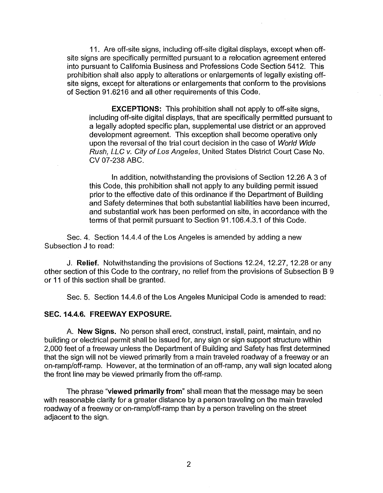11. Are off-site signs, including off-site digital displays, except when offsite signs are specifically permitted pursuant to a relocation agreement entered into pursuant to California Business and Professions Code Section 5412. This prohibition shall also apply to alterations or enlargements of legally existing offsite signs, except for alterations or enlargements that conform to the provisions of Section 91.6216 and all other requirements of this Code.

**EXCEPTIONS:** This prohibition shall not apply to off-site signs, including off-site digital displays, that are specifically permitted pursuant to a legally adopted specific plan, supplemental use district or an approved development agreement. This exception shall become operative only upon the reversal of the trial court decision in the case of World Wide Rush, LLC v. City of Los Angeles, United States District Court Case No. CV 07-238 ABC.

In addition, notwithstanding the provisions of Section 12.26 A 3 of this Code, this prohibition shall not apply to any building permit issued prior to the effective date of this ordinance if the Department of Building and Safety determines that both substantial liabilities have been incurred, and substantial work has been performed on site, in accordance with the terms of that permit pursuant to Section 91.1 06.4.3.1 of this Code.

Sec. 4. Section 14.4.4 of the Los Angeles is amended by adding a new Subsection J to read:

J. **Relief.** Notwithstanding the provisions of Sections 12.24, 12.27, 12.28 or any other section of this Code to the contrary, no relief from the provisions of Subsection B 9 or 11 of this section shall be granted.

Sec. 5. Section 14.4.6 of the Los Angeles Municipal Code is amended to read:

### **SEC.14.4.6. FREEWAY EXPOSURE.**

A. **New Signs.** No person shall erect, construct, install, paint, maintain, and no building or electrical permit shall be issued for, any sign or sign support structure within 2,000 feet of a freeway unless the Department of Building and Safety has first determined that the sign will not be viewed primarily from a main traveled roadway of a freeway or an on-ramp/off-ramp. However, at the termination of an off-ramp, any wall sign located along the front line may be viewed primarily from the off-ramp.

The phrase **"viewed primarily from"** shall mean that the message may be seen with reasonable clarity for a greater distance by a person traveling on the main traveled roadway of a freeway or on-ramp/off-ramp than by a person traveling on the street adjacent to the sign.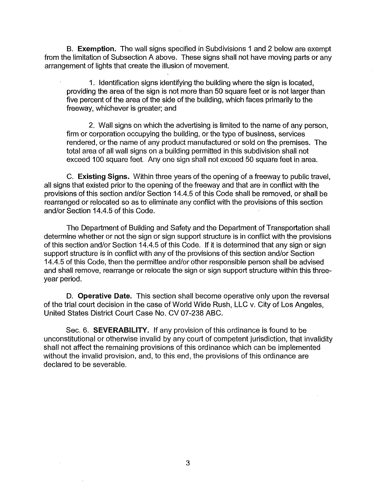B. **Exemption.** The wall signs specified in Subdivisions 1 and 2 below are exempt from the limitation of Subsection A above. These signs shall not have moving parts or any arrangement of lights that create the illusion of movement.

1. Identification signs identifying the building where the sign is located, providing the area of the sign is not more than 50 square feet or is not larger than five percent of the area of the side of the building, which faces primarily to the freeway, whichever is greater; and

2. Wall signs on which the advertising is limited to the name of any person, firm or corporation occupying the building, or the type of business, services rendered, or the name of any product manufactured or sold on the premises. The total area of all wall signs on a building permitted in this subdivision shall not exceed 100 square feet. Any one sign shall not exceed 50 square feet in area.

C. **Existing Signs.** Within three years of the opening of a freeway to public travel, all signs that existed prior to the opening of the freeway and that are in conflict with the provisions of this section and/or Section 14.4.5 of this Code shall be removed, or shall be rearranged or relocated so as to eliminate any conflict with the provisions of this section and/or Section 14.4.5 of this Code.

The Department of Building and Safety and the Department of Transportation shall determine whether or not the sign or sign support structure is in conflict with the provisions of this section and/or Section 14.4.5 of this Code. If it is determined that any sign or sign support structure is in conflict with any of the provisions of this section and/or Section 14.4.5 of this Code, then the permittee and/or other responsible person shall be advised and shall remove, rearrange or relocate the sign or sign support structure within this threeyear period.

D. **Operative Date.** This section shall become operative only upon the reversal of the trial court decision in the case of World Wide Rush, LLC v. City of Los Angeles, United States District Court Case No. CV 07-238 ABC.

Sec. 6. **SEVERABILITY.** If any provision of this ordinance is found to be unconstitutional or otherwise invalid by any court of competent jurisdiction, that invalidity shall not affect the remaining provisions of this ordinance which can be implemented without the invalid provision, and, to this end, the provisions of this ordinance are declared to be severable.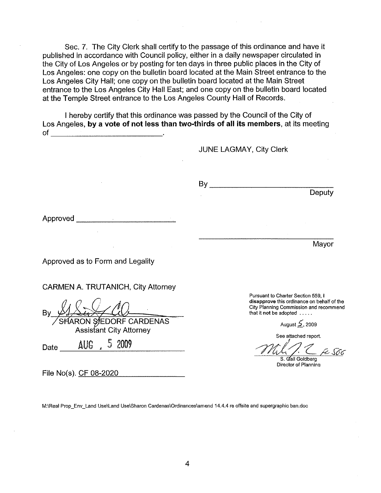Sec. 7. The City Clerk shall certify to the passage of this ordinance and have it published in accordance with Council policy, either in a daily newspaper circulated in the City of Los Angeles or by posting for ten days in three public places in the City of Los Angeles: one copy on the bulletin board located at the Main Street entrance to the Los Angeles City Hall; one copy on the bulletin board located at the Main Street entrance to the Los Angeles City Hall East; and one copy on the bulletin board located at the Temple Street entrance to the Los Angeles County Hall of Records.

I hereby certify that this ordinance was passed by the Council of the City of Los Angeles, **by a vote of not less than two-thirds of all its members**, at its meeting of

JUNE LAGMAY, City Clerk

 $\mathsf{By}$ 

Approved--------'--------~

Approved as to Form and Legality

CARMEN A. TRUTANICH, City Attorney

SHARON SIEDORF CARDENAS Assistant City Attorney Date \_ \_:\_A:.::\_UG~, \_5---.::2:.::.\_00~9 \_\_\_ \_

File No(s). CF 08-2020

**M:\Real Prop\_Env\_Land Use\Land Use\Sharon Cardenas\Ordinances\amend 14.4.4 re offsite and supergraphic ban.doc** 

**Pursuant to Charter Section 559, I disapprove this ordinance on behalf of the City Planning Commission and recommend**  that It not be adopted .....

August *5,* <sup>2009</sup>

**Deputy** 

Mayor

**See attached report.** 

/?ld~'c *A-We*  S. Gail Goldberg

**Director of Plannina**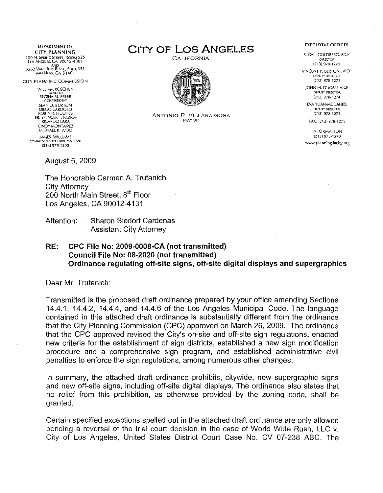DEPARTMENT OF CITY PLANNING 200 N, Spring Street, Room 525<br>Los Angeles, CA 90012-4801<br>6262 Van Nuys Blvd., Suite 351 VANNUYS,CA 91401

CITY PLANNING COMMISSION

WILLIAM ROSCHEN PRESIDENT<br>REGINA M. FREER<br>VICE-PRESIDENT SEAN 0. BURTON DIEGO CARDOSO ROBIN R. HUGHES.<br>FR. SPENCER T. KEZIOS RICARDO LARA CINDY MONTANEZ MICHAEL K. WOO JAMES WILLIAMS COMMISSION EXECUTIVE ASSISTANT {213) 978-1300

August 5, 2009

The Honorable Carmen A. Trutanich City Attorney 200 North Main Street, 8<sup>th</sup> Floor Los Angeles, CA 90012-4131

Attention: Sharon Siedorf Cardenas Assistant City Attorney

RE: CPC File No: 2009-0008-CA (not transmitted) Council File No: 08-2020 (not transmitted) Ordinance regulating off-site signs, off-site digital displays and supergraphics

Dear Mr. Trutanich:

Transmitted is the proposed draft ordinance prepared by your office amending Sections 14.4.1, 14.4.2, 14.4.4, and 14.4.6 of the Los Angeles Municipal Code. The language contained in this attached draft ordinance is substantially different from the ordinance that the City Planning Commission (CPC) approved on March 26, 2009. The ordinance that the CPC approved revised the City's on-site and off-site sign regulations, enacted new criteria for the establishment of sign districts, established a new sign modification procedure and a comprehensive sign program, and established administrative civil penalties to enforce the sign regulations, among numerous other changes.

In summary, the attached draft ordinance prohibits, citywide, new supergraphic signs and new off-site signs, including off-site digital displays. The ordinance also states that no relief from this prohibition, as otherwise provided by the zoning code, shall be granted.

Certain specified exceptions spelled out in the attached draft ordinance are only allowed pending a reversal of the trial court decision in the case of World Wide Rush, LLC v. City of Los Angeles, United States District Court Case No. CV 07-238 ABC. The





ANTONIO R. VILLARAIGOSA MAYOR

#### EXECUTIVE OFFICES

S. GAIL GOlDBERG, A!CP DIRECTOR {213) 978-1271

VINCENT P. BERTONI, AICP D€PUTY DIRECTOR (213) 978-1272

JOHN M. DUGAN, AICP DEPUTY DIRECTOR (213) 978-1274

EVA YUAN-MCDANIEL DEPUTY DIRECTOR (213} 978-1273 FAX: (213) 978-1275

INFORMATION (213) 978-1270 www.planning.lacity.org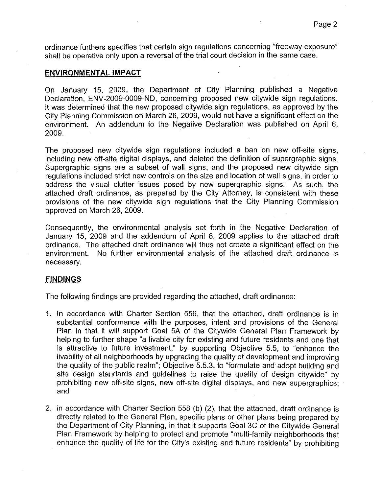ordinance furthers specifies that certain sign regulations concerning "freeway exposure" shall be operative only upon a reversal of the trial court decision in the same case.

#### **ENVIRONMENTAL IMPACT**

On January 15, 2009, the Department of City Planning published a Negative Declaration, ENV-2009-0009-ND, concerning proposed new citywide sign regulations. It was determined that the new proposed citywide sign regulations, as approved by the City Planning Commission on March 26, 2009, would not have a significant effect on the environment. An addendum to the Negative Declaration was published on April 6, 2009.

The proposed new citywide sign regulations included a ban on new off-site signs, including new off-site digital displays, and deleted the definition of supergraphic signs. Supergraphic signs are a subset of wall signs, and the proposed new citywide sign regulations included strict new controls on the size and location of wall signs, in order to address the visual clutter issues posed by new supergraphic signs. As such, the attached draft ordinance, as prepared by the City Attorney, is consistent with these provisions of the new citywide sign regulations that the City Planning Commission approved on March 26, 2009.

Consequently, the environmental analysis set forth in the Negative Declaration of January 15, 2009 and the addendum of April 6, 2009 applies to the attached draft ordinance. The attached draft ordinance will thus not create a significant effect on the environment. No further environmental analysis of the attached draft ordinance is necessary.

#### **FINDINGS**

The following findings are provided regarding the attached, draft ordinance:

- 1. In accordance with Charter Section 556, that the attached, draft ordinance is in substantial conformance with the purposes, intent and provisions of the General Plan in that it will support Goal 5A of the Citywide General Plan Framework by helping to further shape "a livable city for existing and future residents and one that is attractive to future investment," by supporting Objective 5.5, to "enhance the livability of all neighborhoods by upgrading the quality of development and improving the quality of the public realm"; Objective 5.5.3, to "formulate and adopt building and site design standards and guidelines to raise the quality of design citywide" by prohibiting new off-site signs, new off-site digital displays, and new supergraphics; and
- 2. in accordance with Charter Section 558 (b) (2), that the attached, draft ordinance is directly related to the General Plan, specific plans or other plans being prepared by the Department of City Planning, in that it supports Goal 3C of the Citywide General Plan Framework by helping to protect and promote "multi-family neighborhoods that enhance the quality of life for the City's existing and future residents" by prohibiting